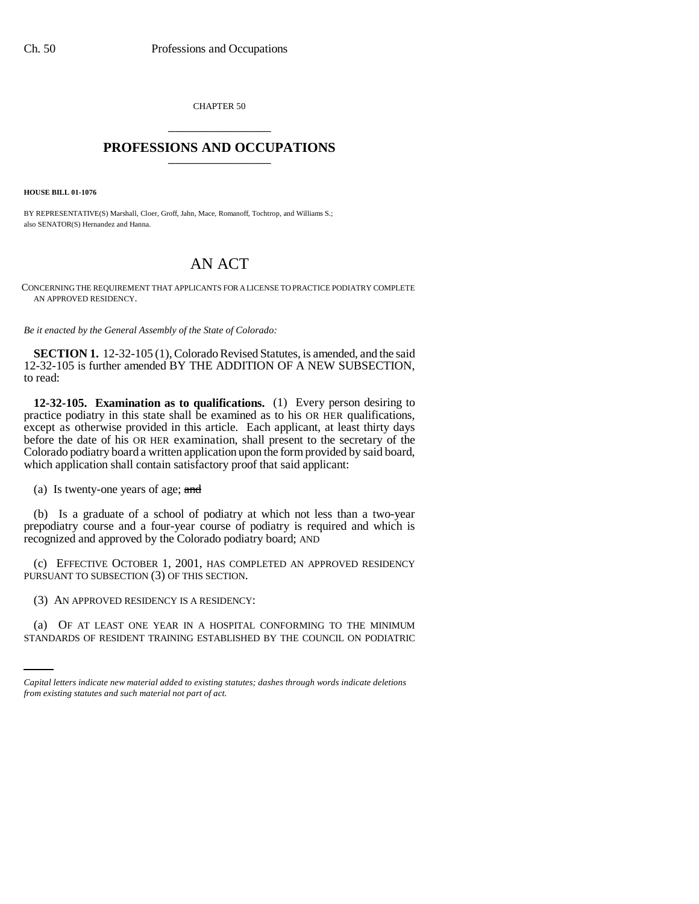CHAPTER 50 \_\_\_\_\_\_\_\_\_\_\_\_\_\_\_

## **PROFESSIONS AND OCCUPATIONS** \_\_\_\_\_\_\_\_\_\_\_\_\_\_\_

**HOUSE BILL 01-1076**

BY REPRESENTATIVE(S) Marshall, Cloer, Groff, Jahn, Mace, Romanoff, Tochtrop, and Williams S.; also SENATOR(S) Hernandez and Hanna.

## AN ACT

CONCERNING THE REQUIREMENT THAT APPLICANTS FOR A LICENSE TO PRACTICE PODIATRY COMPLETE AN APPROVED RESIDENCY.

*Be it enacted by the General Assembly of the State of Colorado:*

**SECTION 1.** 12-32-105 (1), Colorado Revised Statutes, is amended, and the said 12-32-105 is further amended BY THE ADDITION OF A NEW SUBSECTION, to read:

**12-32-105. Examination as to qualifications.** (1) Every person desiring to practice podiatry in this state shall be examined as to his OR HER qualifications, except as otherwise provided in this article. Each applicant, at least thirty days before the date of his OR HER examination, shall present to the secretary of the Colorado podiatry board a written application upon the form provided by said board, which application shall contain satisfactory proof that said applicant:

(a) Is twenty-one years of age; and

(b) Is a graduate of a school of podiatry at which not less than a two-year prepodiatry course and a four-year course of podiatry is required and which is recognized and approved by the Colorado podiatry board; AND

(c) EFFECTIVE OCTOBER 1, 2001, HAS COMPLETED AN APPROVED RESIDENCY PURSUANT TO SUBSECTION (3) OF THIS SECTION.

(3) AN APPROVED RESIDENCY IS A RESIDENCY:

(a) OF AT LEAST ONE YEAR IN A HOSPITAL CONFORMING TO THE MINIMUM STANDARDS OF RESIDENT TRAINING ESTABLISHED BY THE COUNCIL ON PODIATRIC

*Capital letters indicate new material added to existing statutes; dashes through words indicate deletions from existing statutes and such material not part of act.*